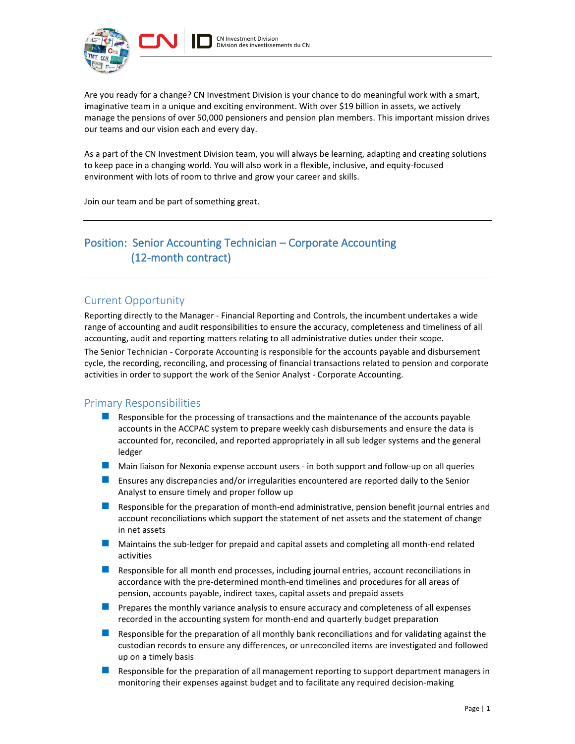

Are you ready for a change? CN Investment Division is your chance to do meaningful work with a smart, imaginative team in a unique and exciting environment. With over \$19 billion in assets, we actively manage the pensions of over 50,000 pensioners and pension plan members. This important mission drives our teams and our vision each and every day.

As a part of the CN Investment Division team, you will always be learning, adapting and creating solutions to keep pace in a changing world. You will also work in a flexible, inclusive, and equity-focused environment with lots of room to thrive and grow your career and skills.

Join our team and be part of something great.

# Position: Senior Accounting Technician – Corporate Accounting (12-month contract)

## Current Opportunity

Reporting directly to the Manager - Financial Reporting and Controls, the incumbent undertakes a wide range of accounting and audit responsibilities to ensure the accuracy, completeness and timeliness of all accounting, audit and reporting matters relating to all administrative duties under their scope. The Senior Technician - Corporate Accounting is responsible for the accounts payable and disbursement cycle, the recording, reconciling, and processing of financial transactions related to pension and corporate activities in order to support the work of the Senior Analyst - Corporate Accounting.

## Primary Responsibilities

- **Responsible for the processing of transactions and the maintenance of the accounts payable** accounts in the ACCPAC system to prepare weekly cash disbursements and ensure the data is accounted for, reconciled, and reported appropriately in all sub ledger systems and the general ledger
- **Main liaison for Nexonia expense account users in both support and follow-up on all queries**
- **E** Ensures any discrepancies and/or irregularities encountered are reported daily to the Senior Analyst to ensure timely and proper follow up
- **Responsible for the preparation of month-end administrative, pension benefit journal entries and** account reconciliations which support the statement of net assets and the statement of change in net assets
- **Maintains the sub-ledger for prepaid and capital assets and completing all month-end related** activities
- **Responsible for all month end processes, including journal entries, account reconciliations in** accordance with the pre-determined month-end timelines and procedures for all areas of pension, accounts payable, indirect taxes, capital assets and prepaid assets
- **Prepares the monthly variance analysis to ensure accuracy and completeness of all expenses** recorded in the accounting system for month-end and quarterly budget preparation
- **Responsible for the preparation of all monthly bank reconciliations and for validating against the** custodian records to ensure any differences, or unreconciled items are investigated and followed up on a timely basis
- **Responsible for the preparation of all management reporting to support department managers in** monitoring their expenses against budget and to facilitate any required decision-making